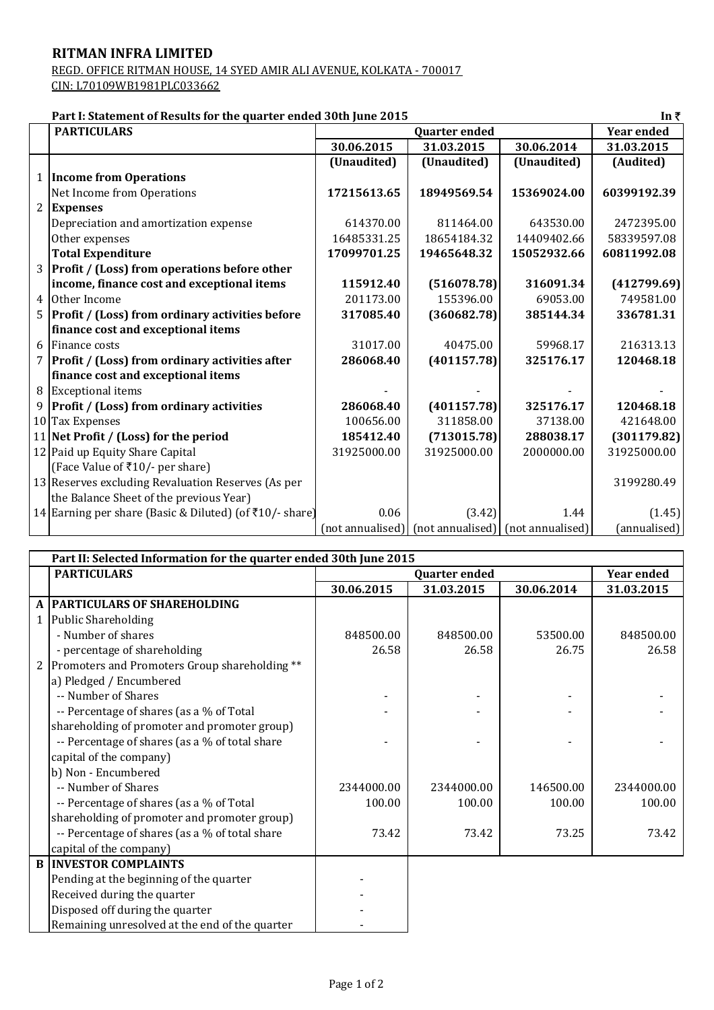## **RITMAN INFRA LIMITED**

REGD. OFFICE RITMAN HOUSE, 14 SYED AMIR ALI AVENUE, KOLKATA - 700017 CIN: L70109WB1981PLC033662

## **Part I: Statement of Results for the quarter ended 30th June 2015**

|                | Part I: Statement of Results for the quarter ended 30th June 2015<br>In ₹ |                      |                                                                  |             |                   |  |  |
|----------------|---------------------------------------------------------------------------|----------------------|------------------------------------------------------------------|-------------|-------------------|--|--|
|                | <b>PARTICULARS</b>                                                        | <b>Quarter ended</b> |                                                                  |             | <b>Year ended</b> |  |  |
|                |                                                                           | 30.06.2015           | 31.03.2015                                                       | 30.06.2014  | 31.03.2015        |  |  |
|                |                                                                           | (Unaudited)          | (Unaudited)                                                      | (Unaudited) | (Audited)         |  |  |
|                | 1 Income from Operations                                                  |                      |                                                                  |             |                   |  |  |
|                | Net Income from Operations                                                | 17215613.65          | 18949569.54                                                      | 15369024.00 | 60399192.39       |  |  |
|                | 2 Expenses                                                                |                      |                                                                  |             |                   |  |  |
|                | Depreciation and amortization expense                                     | 614370.00            | 811464.00                                                        | 643530.00   | 2472395.00        |  |  |
|                | Other expenses                                                            | 16485331.25          | 18654184.32                                                      | 14409402.66 | 58339597.08       |  |  |
|                | <b>Total Expenditure</b>                                                  | 17099701.25          | 19465648.32                                                      | 15052932.66 | 60811992.08       |  |  |
|                | 3 Profit / (Loss) from operations before other                            |                      |                                                                  |             |                   |  |  |
|                | income, finance cost and exceptional items                                | 115912.40            | (516078.78)                                                      | 316091.34   | (412799.69)       |  |  |
| $\overline{4}$ | Other Income                                                              | 201173.00            | 155396.00                                                        | 69053.00    | 749581.00         |  |  |
|                | 5 Profit / (Loss) from ordinary activities before                         | 317085.40            | (360682.78)                                                      | 385144.34   | 336781.31         |  |  |
|                | finance cost and exceptional items                                        |                      |                                                                  |             |                   |  |  |
|                | 6 Finance costs                                                           | 31017.00             | 40475.00                                                         | 59968.17    | 216313.13         |  |  |
| 7              | Profit / (Loss) from ordinary activities after                            | 286068.40            | (401157.78)                                                      | 325176.17   | 120468.18         |  |  |
|                | finance cost and exceptional items                                        |                      |                                                                  |             |                   |  |  |
|                | 8 Exceptional items                                                       |                      |                                                                  |             |                   |  |  |
|                | 9 Profit / (Loss) from ordinary activities                                | 286068.40            | (401157.78)                                                      | 325176.17   | 120468.18         |  |  |
|                | 10 Tax Expenses                                                           | 100656.00            | 311858.00                                                        | 37138.00    | 421648.00         |  |  |
|                | 11 Net Profit / (Loss) for the period                                     | 185412.40            | (713015.78)                                                      | 288038.17   | (301179.82)       |  |  |
|                | 12 Paid up Equity Share Capital                                           | 31925000.00          | 31925000.00                                                      | 2000000.00  | 31925000.00       |  |  |
|                | (Face Value of ₹10/- per share)                                           |                      |                                                                  |             |                   |  |  |
|                | 13 Reserves excluding Revaluation Reserves (As per                        |                      |                                                                  |             | 3199280.49        |  |  |
|                | the Balance Sheet of the previous Year)                                   |                      |                                                                  |             |                   |  |  |
|                | 14 Earning per share (Basic & Diluted) (of ₹10/-share)                    | 0.06                 | (3.42)                                                           | 1.44        | (1.45)            |  |  |
|                |                                                                           |                      | $($ not annualised $)$ $ $ (not annualised) $ $ (not annualised) |             | (annualised)      |  |  |

| Part II: Selected Information for the quarter ended 30th June 2015 |                                                |                      |            |            |                   |  |  |  |
|--------------------------------------------------------------------|------------------------------------------------|----------------------|------------|------------|-------------------|--|--|--|
|                                                                    | <b>PARTICULARS</b>                             | <b>Quarter ended</b> |            |            | <b>Year ended</b> |  |  |  |
|                                                                    |                                                | 30.06.2015           | 31.03.2015 | 30.06.2014 | 31.03.2015        |  |  |  |
|                                                                    | A PARTICULARS OF SHAREHOLDING                  |                      |            |            |                   |  |  |  |
|                                                                    | 1 Public Shareholding                          |                      |            |            |                   |  |  |  |
|                                                                    | - Number of shares                             | 848500.00            | 848500.00  | 53500.00   | 848500.00         |  |  |  |
|                                                                    | - percentage of shareholding                   | 26.58                | 26.58      | 26.75      | 26.58             |  |  |  |
| 2                                                                  | Promoters and Promoters Group shareholding **  |                      |            |            |                   |  |  |  |
|                                                                    | a) Pledged / Encumbered                        |                      |            |            |                   |  |  |  |
|                                                                    | -- Number of Shares                            |                      |            |            |                   |  |  |  |
|                                                                    | -- Percentage of shares (as a % of Total       |                      |            |            |                   |  |  |  |
|                                                                    | shareholding of promoter and promoter group)   |                      |            |            |                   |  |  |  |
|                                                                    | -- Percentage of shares (as a % of total share |                      |            |            |                   |  |  |  |
|                                                                    | capital of the company)                        |                      |            |            |                   |  |  |  |
|                                                                    | b) Non - Encumbered                            |                      |            |            |                   |  |  |  |
|                                                                    | -- Number of Shares                            | 2344000.00           | 2344000.00 | 146500.00  | 2344000.00        |  |  |  |
|                                                                    | -- Percentage of shares (as a % of Total       | 100.00               | 100.00     | 100.00     | 100.00            |  |  |  |
|                                                                    | shareholding of promoter and promoter group)   |                      |            |            |                   |  |  |  |
|                                                                    | -- Percentage of shares (as a % of total share | 73.42                | 73.42      | 73.25      | 73.42             |  |  |  |
|                                                                    | capital of the company)                        |                      |            |            |                   |  |  |  |
|                                                                    | <b>B INVESTOR COMPLAINTS</b>                   |                      |            |            |                   |  |  |  |
|                                                                    | Pending at the beginning of the quarter        |                      |            |            |                   |  |  |  |
|                                                                    | Received during the quarter                    |                      |            |            |                   |  |  |  |
|                                                                    | Disposed off during the quarter                |                      |            |            |                   |  |  |  |
|                                                                    | Remaining unresolved at the end of the quarter |                      |            |            |                   |  |  |  |